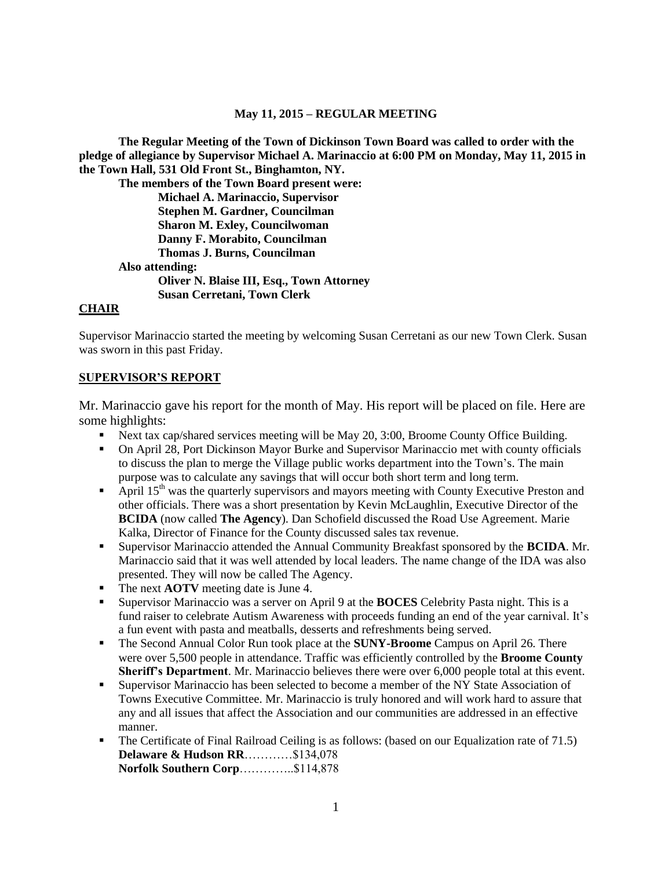#### **May 11, 2015 – REGULAR MEETING**

**The Regular Meeting of the Town of Dickinson Town Board was called to order with the pledge of allegiance by Supervisor Michael A. Marinaccio at 6:00 PM on Monday, May 11, 2015 in the Town Hall, 531 Old Front St., Binghamton, NY.** 

**The members of the Town Board present were: Michael A. Marinaccio, Supervisor Stephen M. Gardner, Councilman Sharon M. Exley, Councilwoman Danny F. Morabito, Councilman Thomas J. Burns, Councilman Also attending: Oliver N. Blaise III, Esq., Town Attorney Susan Cerretani, Town Clerk**

#### **CHAIR**

Supervisor Marinaccio started the meeting by welcoming Susan Cerretani as our new Town Clerk. Susan was sworn in this past Friday.

#### **SUPERVISOR'S REPORT**

Mr. Marinaccio gave his report for the month of May. His report will be placed on file. Here are some highlights:

- Next tax cap/shared services meeting will be May 20, 3:00, Broome County Office Building.
- On April 28, Port Dickinson Mayor Burke and Supervisor Marinaccio met with county officials to discuss the plan to merge the Village public works department into the Town's. The main purpose was to calculate any savings that will occur both short term and long term.
- April  $15<sup>th</sup>$  was the quarterly supervisors and mayors meeting with County Executive Preston and other officials. There was a short presentation by Kevin McLaughlin, Executive Director of the **BCIDA** (now called **The Agency**). Dan Schofield discussed the Road Use Agreement. Marie Kalka, Director of Finance for the County discussed sales tax revenue.
- Supervisor Marinaccio attended the Annual Community Breakfast sponsored by the **BCIDA**. Mr. Marinaccio said that it was well attended by local leaders. The name change of the IDA was also presented. They will now be called The Agency.
- The next **AOTV** meeting date is June 4.
- Supervisor Marinaccio was a server on April 9 at the **BOCES** Celebrity Pasta night. This is a fund raiser to celebrate Autism Awareness with proceeds funding an end of the year carnival. It's a fun event with pasta and meatballs, desserts and refreshments being served.
- The Second Annual Color Run took place at the **SUNY-Broome** Campus on April 26. There were over 5,500 people in attendance. Traffic was efficiently controlled by the **Broome County Sheriff's Department**. Mr. Marinaccio believes there were over 6,000 people total at this event.
- Supervisor Marinaccio has been selected to become a member of the NY State Association of Towns Executive Committee. Mr. Marinaccio is truly honored and will work hard to assure that any and all issues that affect the Association and our communities are addressed in an effective manner.
- The Certificate of Final Railroad Ceiling is as follows: (based on our Equalization rate of 71.5) **Delaware & Hudson RR**…………\$134,078 **Norfolk Southern Corp**…………..\$114,878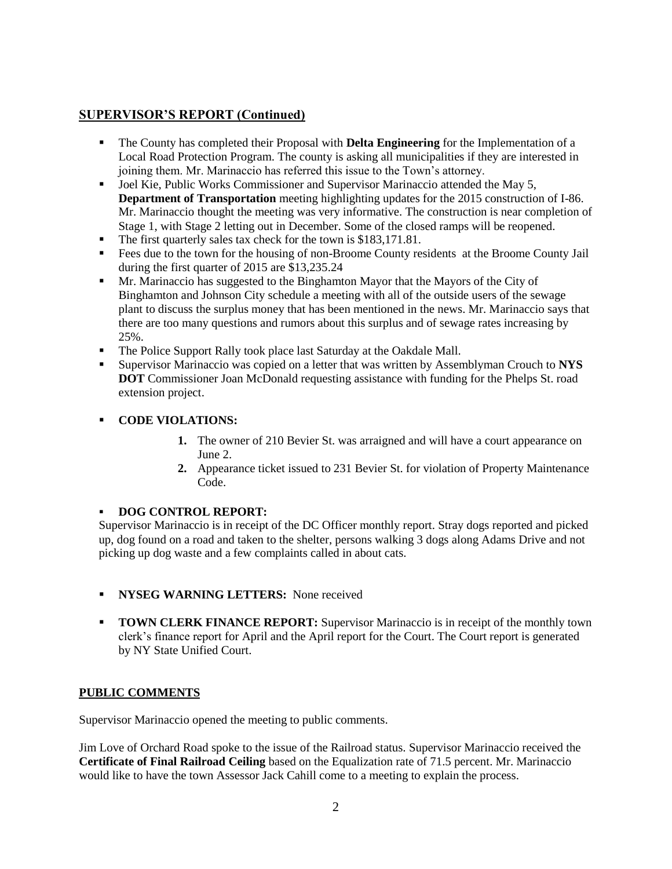# **SUPERVISOR'S REPORT (Continued)**

- The County has completed their Proposal with **Delta Engineering** for the Implementation of a Local Road Protection Program. The county is asking all municipalities if they are interested in joining them. Mr. Marinaccio has referred this issue to the Town's attorney.
- Joel Kie, Public Works Commissioner and Supervisor Marinaccio attended the May 5, **Department of Transportation** meeting highlighting updates for the 2015 construction of I-86. Mr. Marinaccio thought the meeting was very informative. The construction is near completion of Stage 1, with Stage 2 letting out in December. Some of the closed ramps will be reopened.
- The first quarterly sales tax check for the town is \$183,171.81.
- Fees due to the town for the housing of non-Broome County residents at the Broome County Jail during the first quarter of 2015 are \$13,235.24
- Mr. Marinaccio has suggested to the Binghamton Mayor that the Mayors of the City of Binghamton and Johnson City schedule a meeting with all of the outside users of the sewage plant to discuss the surplus money that has been mentioned in the news. Mr. Marinaccio says that there are too many questions and rumors about this surplus and of sewage rates increasing by 25%.
- The Police Support Rally took place last Saturday at the Oakdale Mall.
- Supervisor Marinaccio was copied on a letter that was written by Assemblyman Crouch to **NYS DOT** Commissioner Joan McDonald requesting assistance with funding for the Phelps St. road extension project.

### **CODE VIOLATIONS:**

- **1.** The owner of 210 Bevier St. was arraigned and will have a court appearance on June 2.
- **2.** Appearance ticket issued to 231 Bevier St. for violation of Property Maintenance Code.

## **DOG CONTROL REPORT:**

Supervisor Marinaccio is in receipt of the DC Officer monthly report. Stray dogs reported and picked up, dog found on a road and taken to the shelter, persons walking 3 dogs along Adams Drive and not picking up dog waste and a few complaints called in about cats.

- **NYSEG WARNING LETTERS:** None received
- **TOWN CLERK FINANCE REPORT:** Supervisor Marinaccio is in receipt of the monthly town clerk's finance report for April and the April report for the Court. The Court report is generated by NY State Unified Court.

## **PUBLIC COMMENTS**

Supervisor Marinaccio opened the meeting to public comments.

Jim Love of Orchard Road spoke to the issue of the Railroad status. Supervisor Marinaccio received the **Certificate of Final Railroad Ceiling** based on the Equalization rate of 71.5 percent. Mr. Marinaccio would like to have the town Assessor Jack Cahill come to a meeting to explain the process.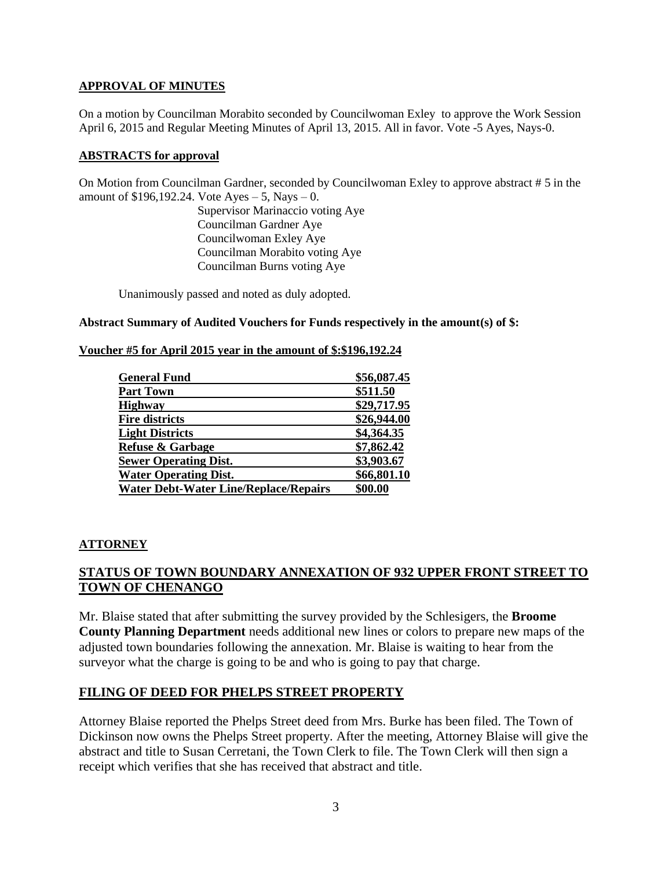### **APPROVAL OF MINUTES**

On a motion by Councilman Morabito seconded by Councilwoman Exley to approve the Work Session April 6, 2015 and Regular Meeting Minutes of April 13, 2015. All in favor. Vote -5 Ayes, Nays-0.

#### **ABSTRACTS for approval**

On Motion from Councilman Gardner, seconded by Councilwoman Exley to approve abstract # 5 in the amount of  $$196,192.24$ . Vote Ayes  $-5$ , Nays  $-0$ .

> Supervisor Marinaccio voting Aye Councilman Gardner Aye Councilwoman Exley Aye Councilman Morabito voting Aye Councilman Burns voting Aye

Unanimously passed and noted as duly adopted.

#### **Abstract Summary of Audited Vouchers for Funds respectively in the amount(s) of \$:**

#### **Voucher #5 for April 2015 year in the amount of \$:\$196,192.24**

| <b>General Fund</b>                          | \$56,087.45 |
|----------------------------------------------|-------------|
| <b>Part Town</b>                             | \$511.50    |
| <b>Highway</b>                               | \$29,717.95 |
| <b>Fire districts</b>                        | \$26,944.00 |
| <b>Light Districts</b>                       | \$4,364.35  |
| <b>Refuse &amp; Garbage</b>                  | \$7,862.42  |
| <b>Sewer Operating Dist.</b>                 | \$3,903.67  |
| <b>Water Operating Dist.</b>                 | \$66,801.10 |
| <b>Water Debt-Water Line/Replace/Repairs</b> | \$00.00     |

#### **ATTORNEY**

# **STATUS OF TOWN BOUNDARY ANNEXATION OF 932 UPPER FRONT STREET TO TOWN OF CHENANGO**

Mr. Blaise stated that after submitting the survey provided by the Schlesigers, the **Broome County Planning Department** needs additional new lines or colors to prepare new maps of the adjusted town boundaries following the annexation. Mr. Blaise is waiting to hear from the surveyor what the charge is going to be and who is going to pay that charge.

## **FILING OF DEED FOR PHELPS STREET PROPERTY**

Attorney Blaise reported the Phelps Street deed from Mrs. Burke has been filed. The Town of Dickinson now owns the Phelps Street property. After the meeting, Attorney Blaise will give the abstract and title to Susan Cerretani, the Town Clerk to file. The Town Clerk will then sign a receipt which verifies that she has received that abstract and title.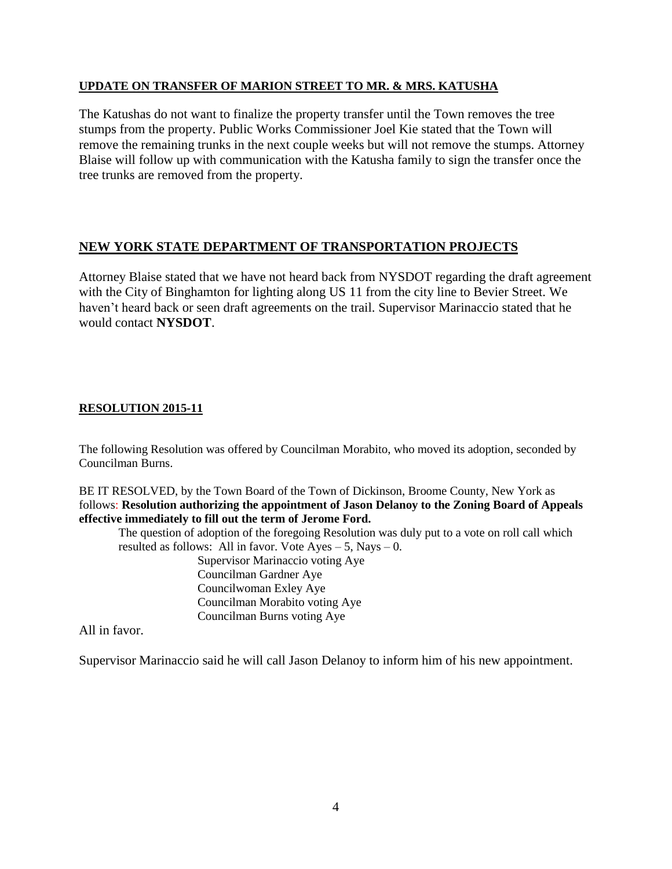### **UPDATE ON TRANSFER OF MARION STREET TO MR. & MRS. KATUSHA**

The Katushas do not want to finalize the property transfer until the Town removes the tree stumps from the property. Public Works Commissioner Joel Kie stated that the Town will remove the remaining trunks in the next couple weeks but will not remove the stumps. Attorney Blaise will follow up with communication with the Katusha family to sign the transfer once the tree trunks are removed from the property.

# **NEW YORK STATE DEPARTMENT OF TRANSPORTATION PROJECTS**

Attorney Blaise stated that we have not heard back from NYSDOT regarding the draft agreement with the City of Binghamton for lighting along US 11 from the city line to Bevier Street. We haven't heard back or seen draft agreements on the trail. Supervisor Marinaccio stated that he would contact **NYSDOT**.

## **RESOLUTION 2015-11**

The following Resolution was offered by Councilman Morabito, who moved its adoption, seconded by Councilman Burns.

BE IT RESOLVED, by the Town Board of the Town of Dickinson, Broome County, New York as follows: **Resolution authorizing the appointment of Jason Delanoy to the Zoning Board of Appeals effective immediately to fill out the term of Jerome Ford.**

The question of adoption of the foregoing Resolution was duly put to a vote on roll call which resulted as follows: All in favor. Vote  $Ayes - 5$ , Nays  $- 0$ .

Supervisor Marinaccio voting Aye Councilman Gardner Aye Councilwoman Exley Aye Councilman Morabito voting Aye Councilman Burns voting Aye

All in favor.

Supervisor Marinaccio said he will call Jason Delanoy to inform him of his new appointment.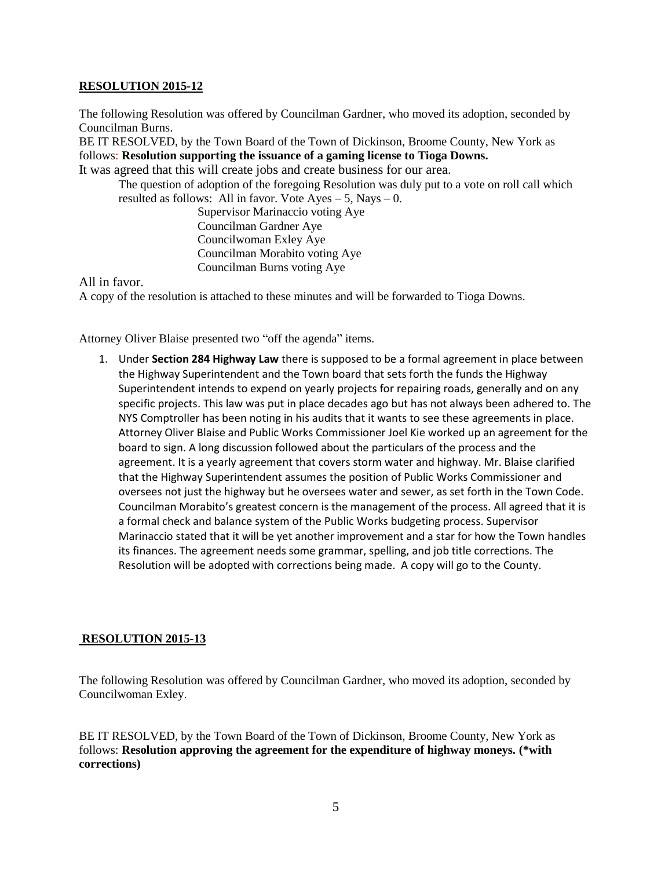#### **RESOLUTION 2015-12**

The following Resolution was offered by Councilman Gardner, who moved its adoption, seconded by Councilman Burns.

BE IT RESOLVED, by the Town Board of the Town of Dickinson, Broome County, New York as follows: **Resolution supporting the issuance of a gaming license to Tioga Downs.**

It was agreed that this will create jobs and create business for our area.

The question of adoption of the foregoing Resolution was duly put to a vote on roll call which resulted as follows: All in favor. Vote  $Ayes - 5$ , Nays  $- 0$ .

> Supervisor Marinaccio voting Aye Councilman Gardner Aye Councilwoman Exley Aye Councilman Morabito voting Aye Councilman Burns voting Aye

All in favor.

A copy of the resolution is attached to these minutes and will be forwarded to Tioga Downs.

Attorney Oliver Blaise presented two "off the agenda" items.

1. Under **Section 284 Highway Law** there is supposed to be a formal agreement in place between the Highway Superintendent and the Town board that sets forth the funds the Highway Superintendent intends to expend on yearly projects for repairing roads, generally and on any specific projects. This law was put in place decades ago but has not always been adhered to. The NYS Comptroller has been noting in his audits that it wants to see these agreements in place. Attorney Oliver Blaise and Public Works Commissioner Joel Kie worked up an agreement for the board to sign. A long discussion followed about the particulars of the process and the agreement. It is a yearly agreement that covers storm water and highway. Mr. Blaise clarified that the Highway Superintendent assumes the position of Public Works Commissioner and oversees not just the highway but he oversees water and sewer, as set forth in the Town Code. Councilman Morabito's greatest concern is the management of the process. All agreed that it is a formal check and balance system of the Public Works budgeting process. Supervisor Marinaccio stated that it will be yet another improvement and a star for how the Town handles its finances. The agreement needs some grammar, spelling, and job title corrections. The Resolution will be adopted with corrections being made. A copy will go to the County.

#### **RESOLUTION 2015-13**

The following Resolution was offered by Councilman Gardner, who moved its adoption, seconded by Councilwoman Exley.

BE IT RESOLVED, by the Town Board of the Town of Dickinson, Broome County, New York as follows: **Resolution approving the agreement for the expenditure of highway moneys. (\*with corrections)**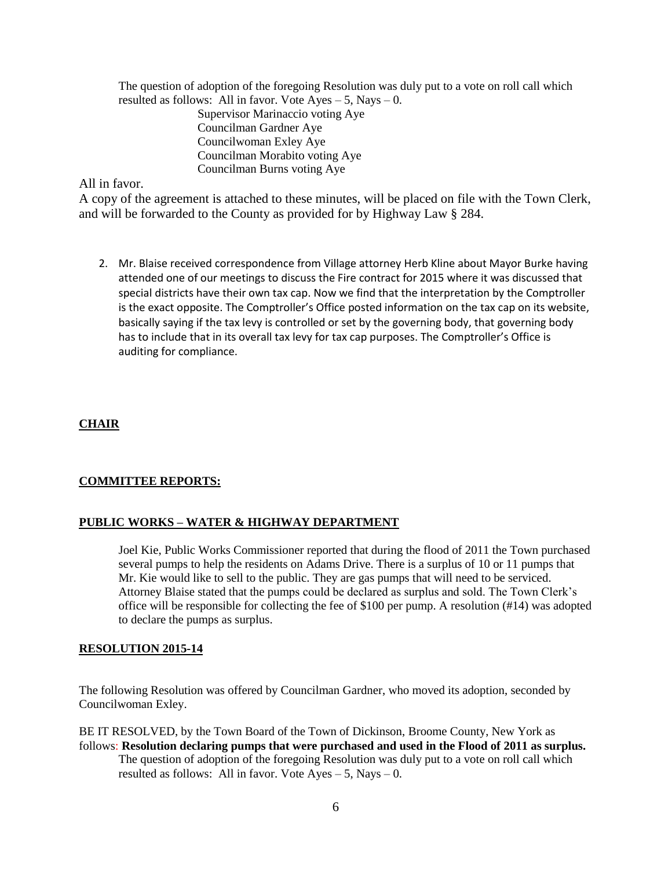The question of adoption of the foregoing Resolution was duly put to a vote on roll call which resulted as follows: All in favor. Vote  $Ayes - 5$ , Nays  $- 0$ . Supervisor Marinaccio voting Aye

Councilman Gardner Aye Councilwoman Exley Aye Councilman Morabito voting Aye Councilman Burns voting Aye

## All in favor.

A copy of the agreement is attached to these minutes, will be placed on file with the Town Clerk, and will be forwarded to the County as provided for by Highway Law § 284.

2. Mr. Blaise received correspondence from Village attorney Herb Kline about Mayor Burke having attended one of our meetings to discuss the Fire contract for 2015 where it was discussed that special districts have their own tax cap. Now we find that the interpretation by the Comptroller is the exact opposite. The Comptroller's Office posted information on the tax cap on its website, basically saying if the tax levy is controlled or set by the governing body, that governing body has to include that in its overall tax levy for tax cap purposes. The Comptroller's Office is auditing for compliance.

## **CHAIR**

## **COMMITTEE REPORTS:**

## **PUBLIC WORKS – WATER & HIGHWAY DEPARTMENT**

Joel Kie, Public Works Commissioner reported that during the flood of 2011 the Town purchased several pumps to help the residents on Adams Drive. There is a surplus of 10 or 11 pumps that Mr. Kie would like to sell to the public. They are gas pumps that will need to be serviced. Attorney Blaise stated that the pumps could be declared as surplus and sold. The Town Clerk's office will be responsible for collecting the fee of \$100 per pump. A resolution (#14) was adopted to declare the pumps as surplus.

#### **RESOLUTION 2015-14**

The following Resolution was offered by Councilman Gardner, who moved its adoption, seconded by Councilwoman Exley.

BE IT RESOLVED, by the Town Board of the Town of Dickinson, Broome County, New York as follows: **Resolution declaring pumps that were purchased and used in the Flood of 2011 as surplus.** The question of adoption of the foregoing Resolution was duly put to a vote on roll call which resulted as follows: All in favor. Vote  $Ayes - 5$ , Nays  $- 0$ .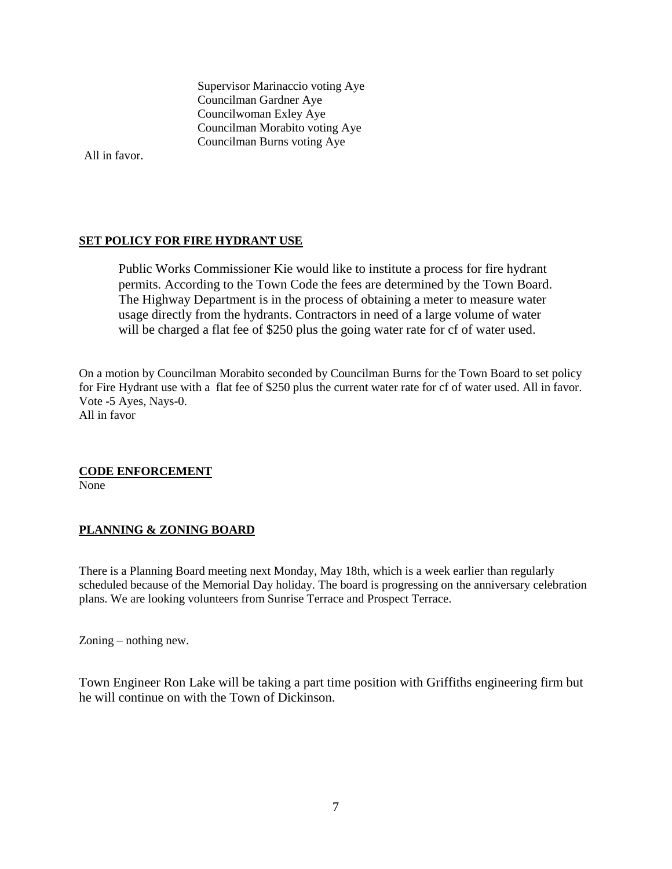Supervisor Marinaccio voting Aye Councilman Gardner Aye Councilwoman Exley Aye Councilman Morabito voting Aye Councilman Burns voting Aye

All in favor.

## **SET POLICY FOR FIRE HYDRANT USE**

Public Works Commissioner Kie would like to institute a process for fire hydrant permits. According to the Town Code the fees are determined by the Town Board. The Highway Department is in the process of obtaining a meter to measure water usage directly from the hydrants. Contractors in need of a large volume of water will be charged a flat fee of \$250 plus the going water rate for cf of water used.

On a motion by Councilman Morabito seconded by Councilman Burns for the Town Board to set policy for Fire Hydrant use with a flat fee of \$250 plus the current water rate for cf of water used. All in favor. Vote -5 Ayes, Nays-0. All in favor

#### **CODE ENFORCEMENT**

None

## **PLANNING & ZONING BOARD**

There is a Planning Board meeting next Monday, May 18th, which is a week earlier than regularly scheduled because of the Memorial Day holiday. The board is progressing on the anniversary celebration plans. We are looking volunteers from Sunrise Terrace and Prospect Terrace.

Zoning – nothing new.

Town Engineer Ron Lake will be taking a part time position with Griffiths engineering firm but he will continue on with the Town of Dickinson.